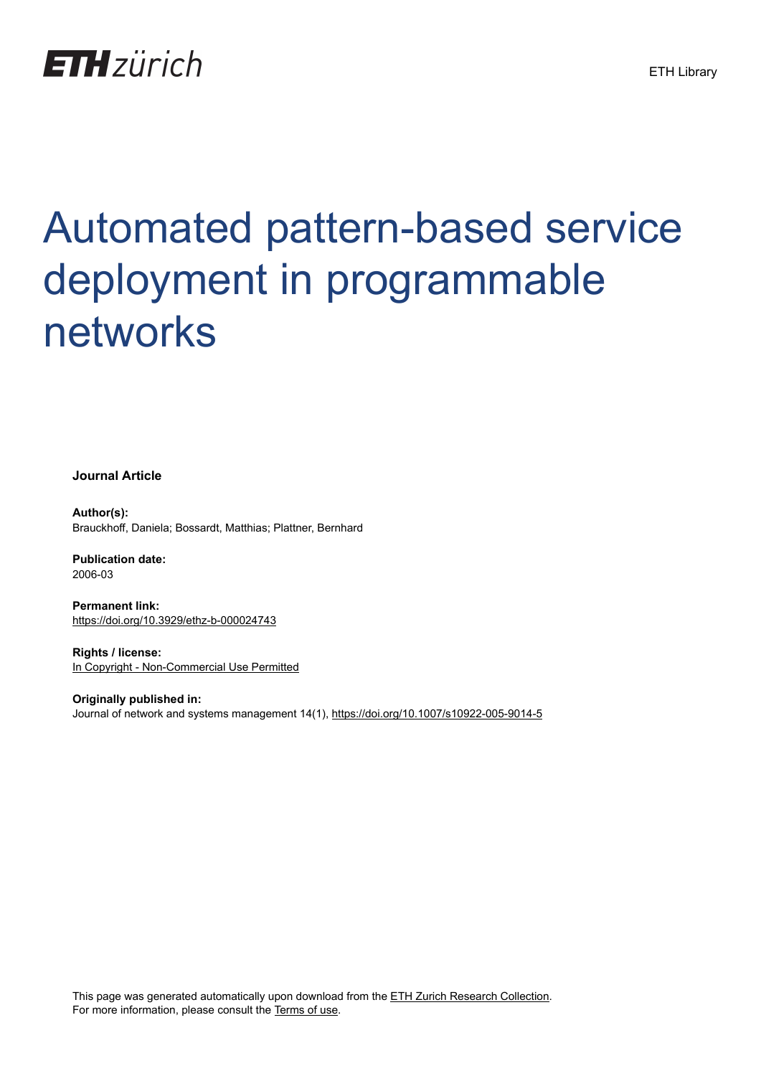

# Automated pattern-based service deployment in programmable networks

**Journal Article**

**Author(s):** Brauckhoff, Daniela; Bossardt, Matthias; Plattner, Bernhard

**Publication date:** 2006-03

**Permanent link:** <https://doi.org/10.3929/ethz-b-000024743>

**Rights / license:** [In Copyright - Non-Commercial Use Permitted](http://rightsstatements.org/page/InC-NC/1.0/)

**Originally published in:** Journal of network and systems management 14(1), <https://doi.org/10.1007/s10922-005-9014-5>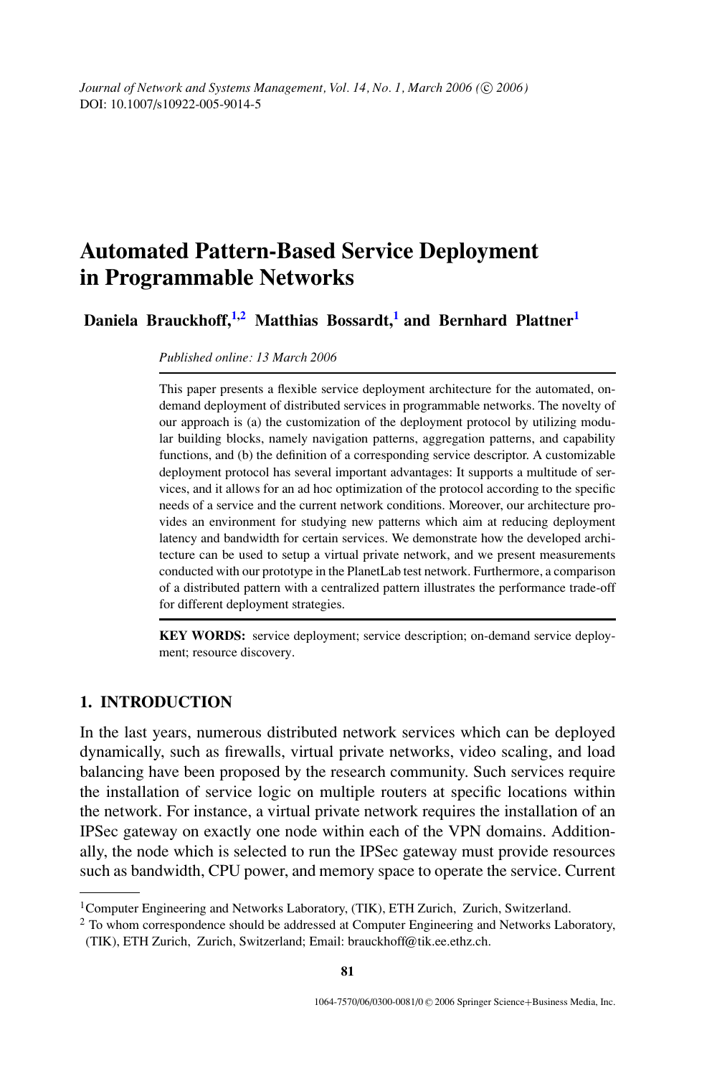## **Automated Pattern-Based Service Deployment in Programmable Networks**

**Daniela Brauckhoff[,1,](#page-1-0)[2](#page-1-1) Matthias Bossardt,[1](#page-1-0) and Bernhard Plattne[r1](#page-1-0)**

*Published online: 13 March 2006*

This paper presents a flexible service deployment architecture for the automated, ondemand deployment of distributed services in programmable networks. The novelty of our approach is (a) the customization of the deployment protocol by utilizing modular building blocks, namely navigation patterns, aggregation patterns, and capability functions, and (b) the definition of a corresponding service descriptor. A customizable deployment protocol has several important advantages: It supports a multitude of services, and it allows for an ad hoc optimization of the protocol according to the specific needs of a service and the current network conditions. Moreover, our architecture provides an environment for studying new patterns which aim at reducing deployment latency and bandwidth for certain services. We demonstrate how the developed architecture can be used to setup a virtual private network, and we present measurements conducted with our prototype in the PlanetLab test network. Furthermore, a comparison of a distributed pattern with a centralized pattern illustrates the performance trade-off for different deployment strategies.

**KEY WORDS:** service deployment; service description; on-demand service deployment; resource discovery.

## **1. INTRODUCTION**

In the last years, numerous distributed network services which can be deployed dynamically, such as firewalls, virtual private networks, video scaling, and load balancing have been proposed by the research community. Such services require the installation of service logic on multiple routers at specific locations within the network. For instance, a virtual private network requires the installation of an IPSec gateway on exactly one node within each of the VPN domains. Additionally, the node which is selected to run the IPSec gateway must provide resources such as bandwidth, CPU power, and memory space to operate the service. Current

<sup>&</sup>lt;sup>1</sup>Computer Engineering and Networks Laboratory, (TIK), ETH Zurich, Zurich, Switzerland.

<span id="page-1-1"></span><span id="page-1-0"></span><sup>&</sup>lt;sup>2</sup> To whom correspondence should be addressed at Computer Engineering and Networks Laboratory,

<sup>(</sup>TIK), ETH Zurich, Zurich, Switzerland; Email: brauckhoff@tik.ee.ethz.ch.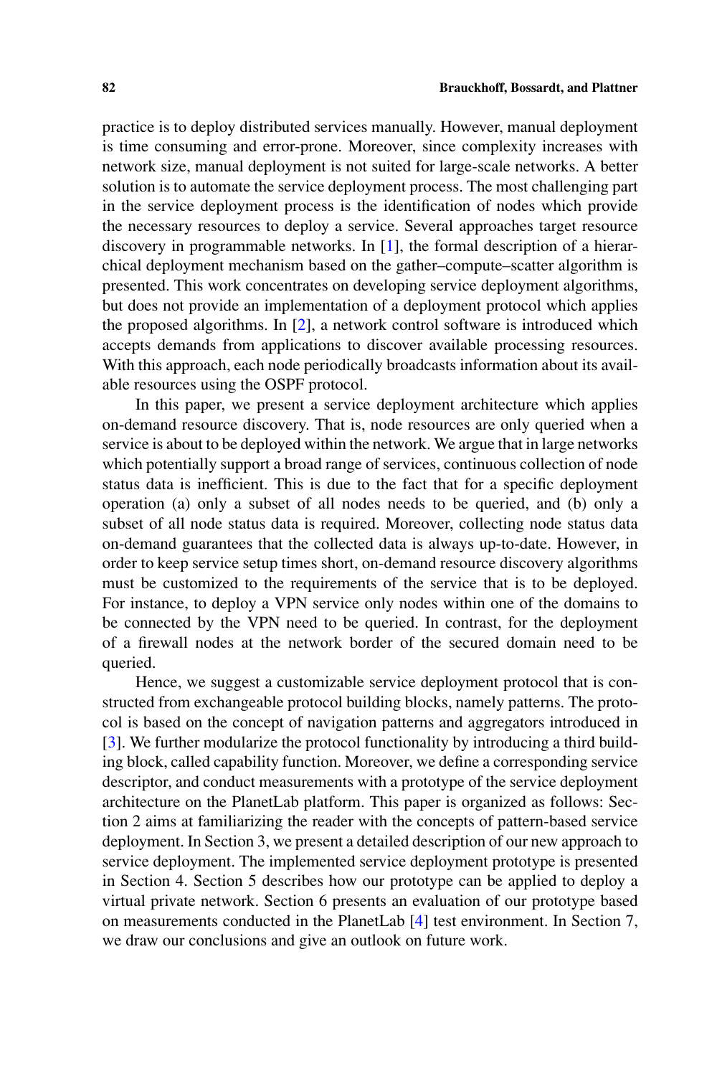practice is to deploy distributed services manually. However, manual deployment is time consuming and error-prone. Moreover, since complexity increases with network size, manual deployment is not suited for large-scale networks. A better solution is to automate the service deployment process. The most challenging part in the service deployment process is the identification of nodes which provide the necessary resources to deploy a service. Several approaches target resource discovery in programmable networks. In  $[1]$ , the formal description of a hierarchical deployment mechanism based on the gather–compute–scatter algorithm is presented. This work concentrates on developing service deployment algorithms, but does not provide an implementation of a deployment protocol which applies the proposed algorithms. In [\[2\]](#page-20-1), a network control software is introduced which accepts demands from applications to discover available processing resources. With this approach, each node periodically broadcasts information about its available resources using the OSPF protocol.

In this paper, we present a service deployment architecture which applies on-demand resource discovery. That is, node resources are only queried when a service is about to be deployed within the network. We argue that in large networks which potentially support a broad range of services, continuous collection of node status data is inefficient. This is due to the fact that for a specific deployment operation (a) only a subset of all nodes needs to be queried, and (b) only a subset of all node status data is required. Moreover, collecting node status data on-demand guarantees that the collected data is always up-to-date. However, in order to keep service setup times short, on-demand resource discovery algorithms must be customized to the requirements of the service that is to be deployed. For instance, to deploy a VPN service only nodes within one of the domains to be connected by the VPN need to be queried. In contrast, for the deployment of a firewall nodes at the network border of the secured domain need to be queried.

Hence, we suggest a customizable service deployment protocol that is constructed from exchangeable protocol building blocks, namely patterns. The protocol is based on the concept of navigation patterns and aggregators introduced in [\[3\]](#page-20-2). We further modularize the protocol functionality by introducing a third building block, called capability function. Moreover, we define a corresponding service descriptor, and conduct measurements with a prototype of the service deployment architecture on the PlanetLab platform. This paper is organized as follows: Section 2 aims at familiarizing the reader with the concepts of pattern-based service deployment. In Section 3, we present a detailed description of our new approach to service deployment. The implemented service deployment prototype is presented in Section 4. Section 5 describes how our prototype can be applied to deploy a virtual private network. Section 6 presents an evaluation of our prototype based on measurements conducted in the PlanetLab [\[4\]](#page-20-3) test environment. In Section 7, we draw our conclusions and give an outlook on future work.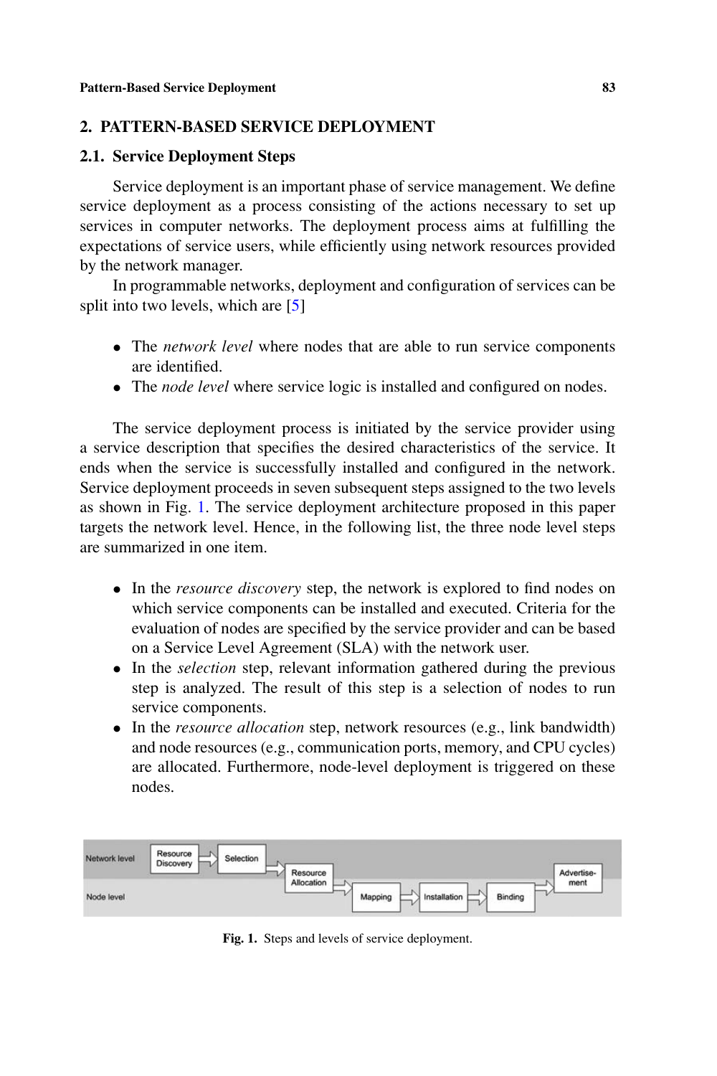## **2. PATTERN-BASED SERVICE DEPLOYMENT**

## **2.1. Service Deployment Steps**

Service deployment is an important phase of service management. We define service deployment as a process consisting of the actions necessary to set up services in computer networks. The deployment process aims at fulfilling the expectations of service users, while efficiently using network resources provided by the network manager.

In programmable networks, deployment and configuration of services can be split into two levels, which are [\[5\]](#page-20-4)

- The *network level* where nodes that are able to run service components are identified.
- The *node level* where service logic is installed and configured on nodes.

The service deployment process is initiated by the service provider using a service description that specifies the desired characteristics of the service. It ends when the service is successfully installed and configured in the network. Service deployment proceeds in seven subsequent steps assigned to the two levels as shown in Fig. [1.](#page-3-0) The service deployment architecture proposed in this paper targets the network level. Hence, in the following list, the three node level steps are summarized in one item.

- In the *resource discovery* step, the network is explored to find nodes on which service components can be installed and executed. Criteria for the evaluation of nodes are specified by the service provider and can be based on a Service Level Agreement (SLA) with the network user.
- In the *selection* step, relevant information gathered during the previous step is analyzed. The result of this step is a selection of nodes to run service components.
- In the *resource allocation* step, network resources (e.g., link bandwidth) and node resources (e.g., communication ports, memory, and CPU cycles) are allocated. Furthermore, node-level deployment is triggered on these nodes.

<span id="page-3-0"></span>

**Fig. 1.** Steps and levels of service deployment.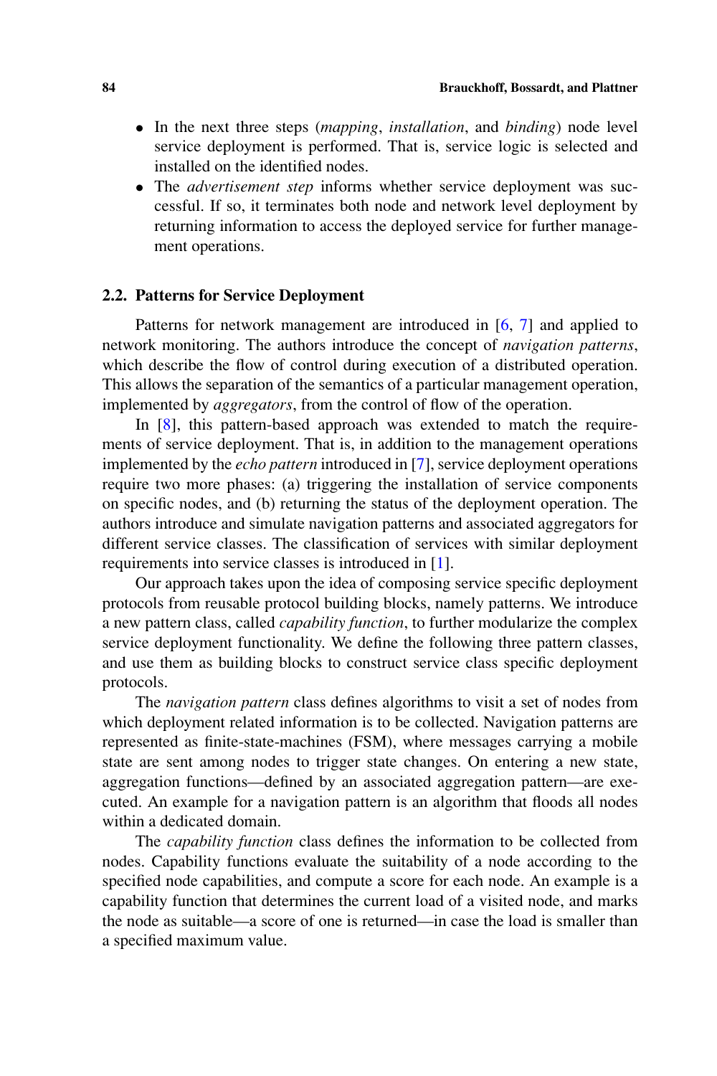- In the next three steps (*mapping*, *installation*, and *binding*) node level service deployment is performed. That is, service logic is selected and installed on the identified nodes.
- The *advertisement step* informs whether service deployment was successful. If so, it terminates both node and network level deployment by returning information to access the deployed service for further management operations.

## **2.2. Patterns for Service Deployment**

Patterns for network management are introduced in [\[6,](#page-20-5) [7\]](#page-20-6) and applied to network monitoring. The authors introduce the concept of *navigation patterns*, which describe the flow of control during execution of a distributed operation. This allows the separation of the semantics of a particular management operation, implemented by *aggregators*, from the control of flow of the operation.

In [\[8\]](#page-20-7), this pattern-based approach was extended to match the requirements of service deployment. That is, in addition to the management operations implemented by the *echo pattern* introduced in [\[7\]](#page-20-6), service deployment operations require two more phases: (a) triggering the installation of service components on specific nodes, and (b) returning the status of the deployment operation. The authors introduce and simulate navigation patterns and associated aggregators for different service classes. The classification of services with similar deployment requirements into service classes is introduced in [\[1\]](#page-20-0).

Our approach takes upon the idea of composing service specific deployment protocols from reusable protocol building blocks, namely patterns. We introduce a new pattern class, called *capability function*, to further modularize the complex service deployment functionality. We define the following three pattern classes, and use them as building blocks to construct service class specific deployment protocols.

The *navigation pattern* class defines algorithms to visit a set of nodes from which deployment related information is to be collected. Navigation patterns are represented as finite-state-machines (FSM), where messages carrying a mobile state are sent among nodes to trigger state changes. On entering a new state, aggregation functions—defined by an associated aggregation pattern—are executed. An example for a navigation pattern is an algorithm that floods all nodes within a dedicated domain.

The *capability function* class defines the information to be collected from nodes. Capability functions evaluate the suitability of a node according to the specified node capabilities, and compute a score for each node. An example is a capability function that determines the current load of a visited node, and marks the node as suitable—a score of one is returned—in case the load is smaller than a specified maximum value.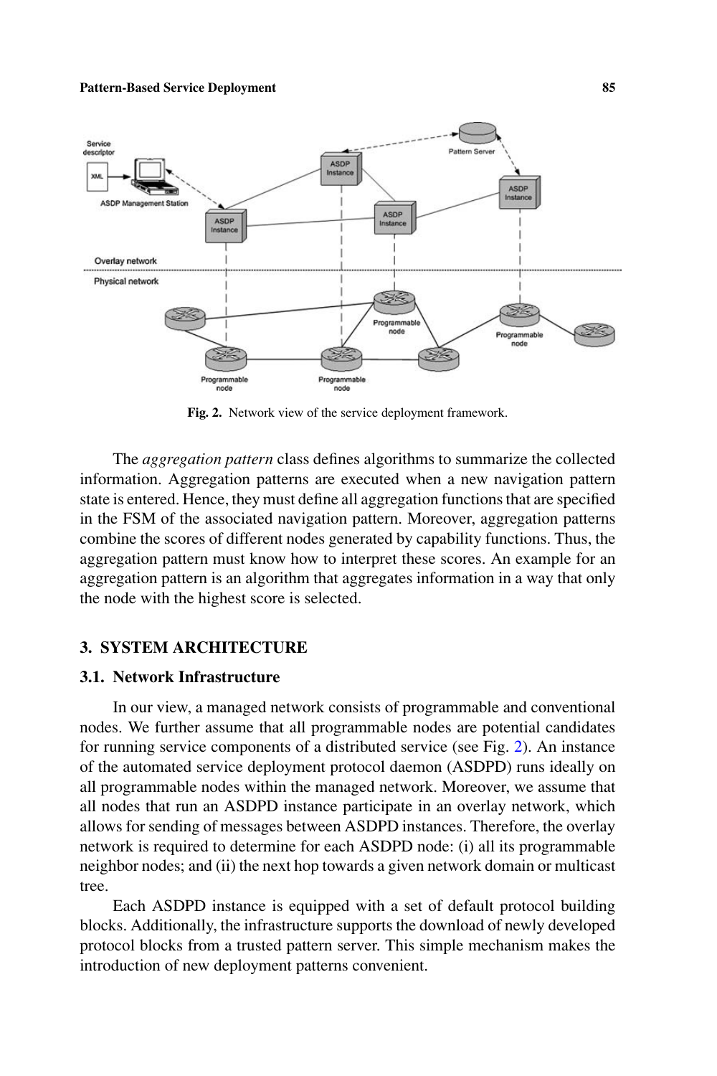#### **Pattern-Based Service Deployment 85**

<span id="page-5-0"></span>

**Fig. 2.** Network view of the service deployment framework.

The *aggregation pattern* class defines algorithms to summarize the collected information. Aggregation patterns are executed when a new navigation pattern state is entered. Hence, they must define all aggregation functions that are specified in the FSM of the associated navigation pattern. Moreover, aggregation patterns combine the scores of different nodes generated by capability functions. Thus, the aggregation pattern must know how to interpret these scores. An example for an aggregation pattern is an algorithm that aggregates information in a way that only the node with the highest score is selected.

## **3. SYSTEM ARCHITECTURE**

## **3.1. Network Infrastructure**

In our view, a managed network consists of programmable and conventional nodes. We further assume that all programmable nodes are potential candidates for running service components of a distributed service (see Fig. [2\)](#page-5-0). An instance of the automated service deployment protocol daemon (ASDPD) runs ideally on all programmable nodes within the managed network. Moreover, we assume that all nodes that run an ASDPD instance participate in an overlay network, which allows for sending of messages between ASDPD instances. Therefore, the overlay network is required to determine for each ASDPD node: (i) all its programmable neighbor nodes; and (ii) the next hop towards a given network domain or multicast tree.

Each ASDPD instance is equipped with a set of default protocol building blocks. Additionally, the infrastructure supports the download of newly developed protocol blocks from a trusted pattern server. This simple mechanism makes the introduction of new deployment patterns convenient.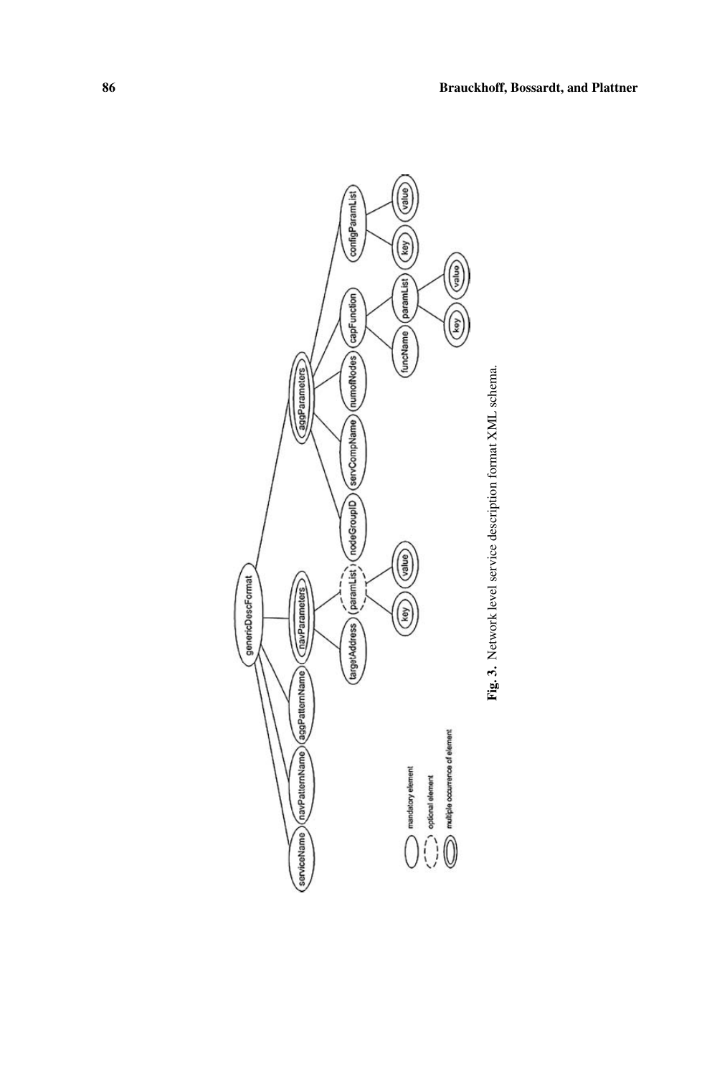

<span id="page-6-0"></span>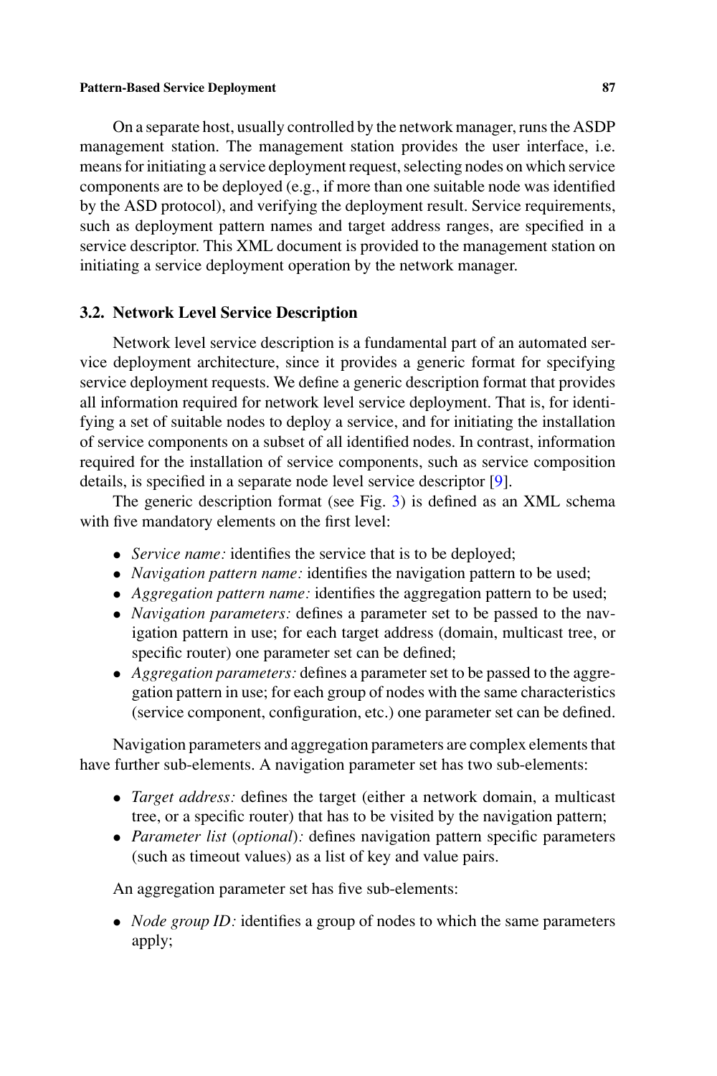#### **Pattern-Based Service Deployment 87 87**

On a separate host, usually controlled by the network manager, runs the ASDP management station. The management station provides the user interface, i.e. means for initiating a service deployment request, selecting nodes on which service components are to be deployed (e.g., if more than one suitable node was identified by the ASD protocol), and verifying the deployment result. Service requirements, such as deployment pattern names and target address ranges, are specified in a service descriptor. This XML document is provided to the management station on initiating a service deployment operation by the network manager.

## **3.2. Network Level Service Description**

Network level service description is a fundamental part of an automated service deployment architecture, since it provides a generic format for specifying service deployment requests. We define a generic description format that provides all information required for network level service deployment. That is, for identifying a set of suitable nodes to deploy a service, and for initiating the installation of service components on a subset of all identified nodes. In contrast, information required for the installation of service components, such as service composition details, is specified in a separate node level service descriptor [\[9\]](#page-20-8).

The generic description format (see Fig. [3\)](#page-6-0) is defined as an XML schema with five mandatory elements on the first level:

- *Service name:* identifies the service that is to be deployed;
- *Navigation pattern name:* identifies the navigation pattern to be used;
- *Aggregation pattern name:* identifies the aggregation pattern to be used;
- *Navigation parameters:* defines a parameter set to be passed to the navigation pattern in use; for each target address (domain, multicast tree, or specific router) one parameter set can be defined;
- *Aggregation parameters:* defines a parameter set to be passed to the aggregation pattern in use; for each group of nodes with the same characteristics (service component, configuration, etc.) one parameter set can be defined.

Navigation parameters and aggregation parameters are complex elements that have further sub-elements. A navigation parameter set has two sub-elements:

- *Target address:* defines the target (either a network domain, a multicast tree, or a specific router) that has to be visited by the navigation pattern;
- *Parameter list* (*optional*)*:* defines navigation pattern specific parameters (such as timeout values) as a list of key and value pairs.

An aggregation parameter set has five sub-elements:

• *Node group ID:* identifies a group of nodes to which the same parameters apply;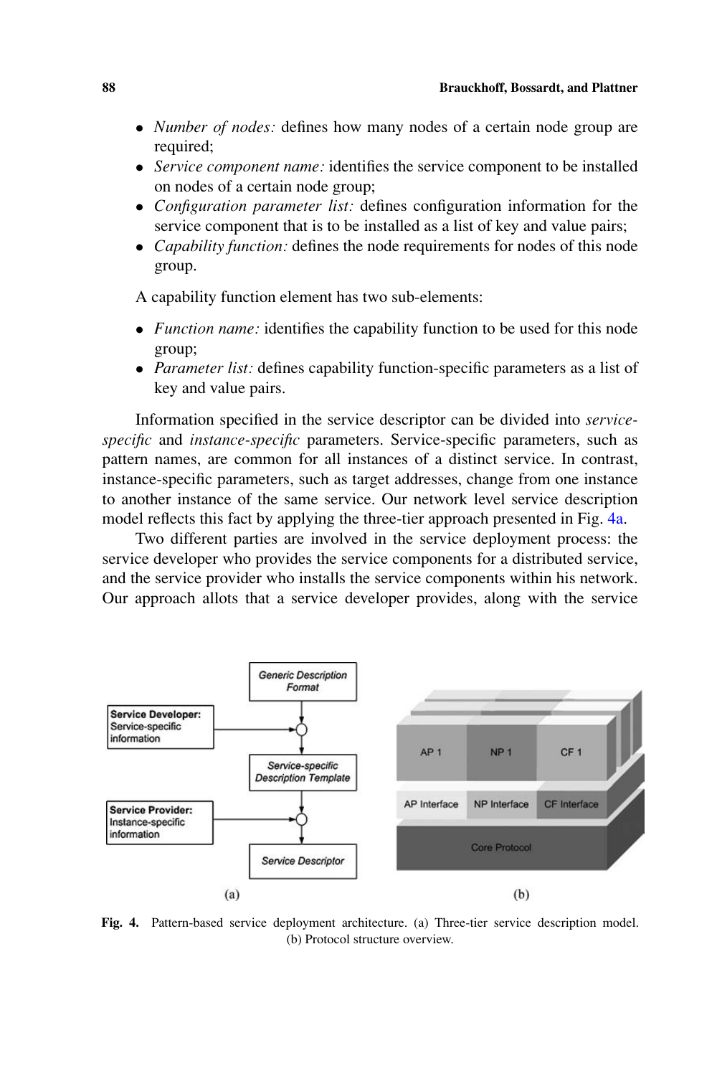- *Number of nodes:* defines how many nodes of a certain node group are required;
- *Service component name:* identifies the service component to be installed on nodes of a certain node group;
- *Configuration parameter list:* defines configuration information for the service component that is to be installed as a list of key and value pairs;
- *Capability function:* defines the node requirements for nodes of this node group.

A capability function element has two sub-elements:

- *Function name:* identifies the capability function to be used for this node group;
- *Parameter list:* defines capability function-specific parameters as a list of key and value pairs.

Information specified in the service descriptor can be divided into *servicespecific* and *instance-specific* parameters. Service-specific parameters, such as pattern names, are common for all instances of a distinct service. In contrast, instance-specific parameters, such as target addresses, change from one instance to another instance of the same service. Our network level service description model reflects this fact by applying the three-tier approach presented in Fig. [4a.](#page-8-0)

Two different parties are involved in the service deployment process: the service developer who provides the service components for a distributed service, and the service provider who installs the service components within his network. Our approach allots that a service developer provides, along with the service

<span id="page-8-0"></span>

**Fig. 4.** Pattern-based service deployment architecture. (a) Three-tier service description model. (b) Protocol structure overview.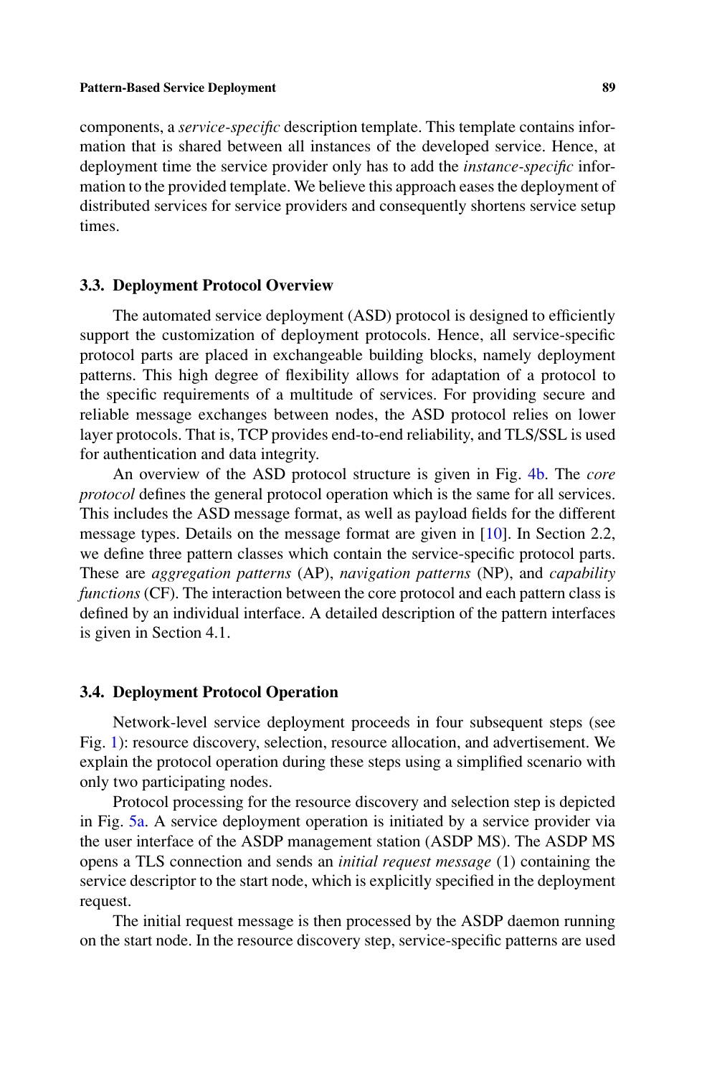components, a *service-specific* description template. This template contains information that is shared between all instances of the developed service. Hence, at deployment time the service provider only has to add the *instance-specific* information to the provided template. We believe this approach eases the deployment of distributed services for service providers and consequently shortens service setup times.

## **3.3. Deployment Protocol Overview**

The automated service deployment (ASD) protocol is designed to efficiently support the customization of deployment protocols. Hence, all service-specific protocol parts are placed in exchangeable building blocks, namely deployment patterns. This high degree of flexibility allows for adaptation of a protocol to the specific requirements of a multitude of services. For providing secure and reliable message exchanges between nodes, the ASD protocol relies on lower layer protocols. That is, TCP provides end-to-end reliability, and TLS/SSL is used for authentication and data integrity.

An overview of the ASD protocol structure is given in Fig. [4b.](#page-8-0) The *core protocol* defines the general protocol operation which is the same for all services. This includes the ASD message format, as well as payload fields for the different message types. Details on the message format are given in [\[10\]](#page-20-9). In Section 2.2, we define three pattern classes which contain the service-specific protocol parts. These are *aggregation patterns* (AP), *navigation patterns* (NP), and *capability functions* (CF). The interaction between the core protocol and each pattern class is defined by an individual interface. A detailed description of the pattern interfaces is given in Section 4.1.

## **3.4. Deployment Protocol Operation**

Network-level service deployment proceeds in four subsequent steps (see Fig. [1\)](#page-3-0): resource discovery, selection, resource allocation, and advertisement. We explain the protocol operation during these steps using a simplified scenario with only two participating nodes.

Protocol processing for the resource discovery and selection step is depicted in Fig. [5a.](#page-10-0) A service deployment operation is initiated by a service provider via the user interface of the ASDP management station (ASDP MS). The ASDP MS opens a TLS connection and sends an *initial request message* (1) containing the service descriptor to the start node, which is explicitly specified in the deployment request.

The initial request message is then processed by the ASDP daemon running on the start node. In the resource discovery step, service-specific patterns are used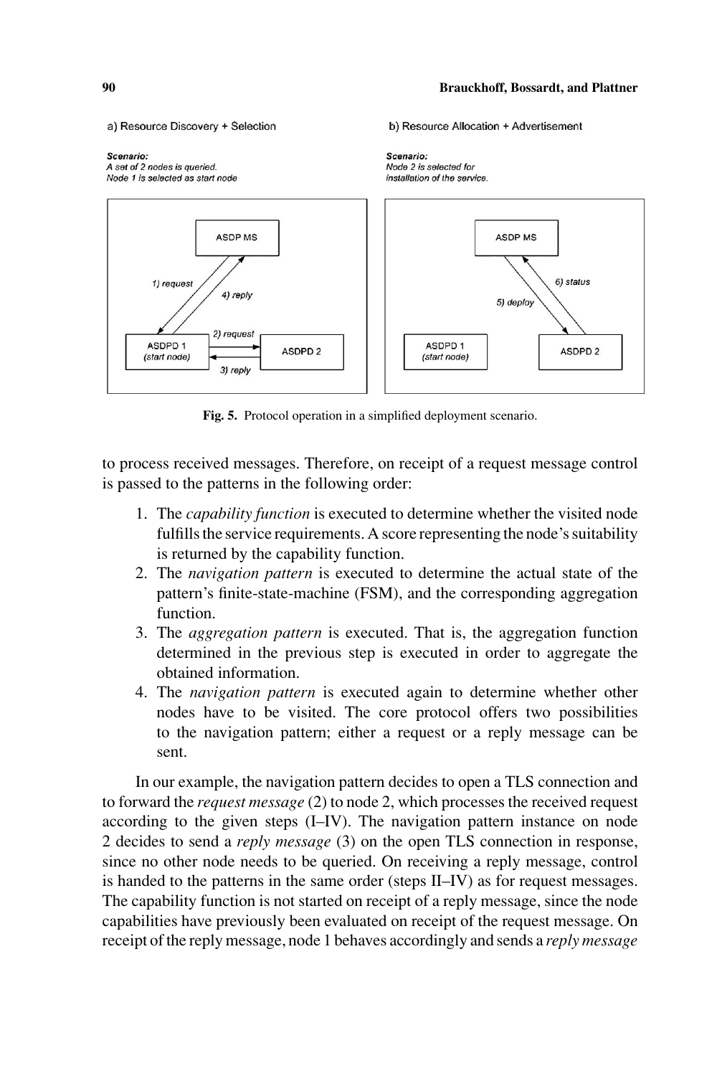#### **90 Brauckhoff, Bossardt, and Plattner**

#### <span id="page-10-0"></span>a) Resource Discovery + Selection

#### Scenario:

A set of 2 nodes is queried. Node 1 is selected as start node





Scenario:

Node 2 is selected for

installation of the service

**Fig. 5.** Protocol operation in a simplified deployment scenario.

to process received messages. Therefore, on receipt of a request message control is passed to the patterns in the following order:

- 1. The *capability function* is executed to determine whether the visited node fulfills the service requirements. A score representing the node's suitability is returned by the capability function.
- 2. The *navigation pattern* is executed to determine the actual state of the pattern's finite-state-machine (FSM), and the corresponding aggregation function.
- 3. The *aggregation pattern* is executed. That is, the aggregation function determined in the previous step is executed in order to aggregate the obtained information.
- 4. The *navigation pattern* is executed again to determine whether other nodes have to be visited. The core protocol offers two possibilities to the navigation pattern; either a request or a reply message can be sent.

In our example, the navigation pattern decides to open a TLS connection and to forward the *request message* (2) to node 2, which processes the received request according to the given steps (I–IV). The navigation pattern instance on node 2 decides to send a *reply message* (3) on the open TLS connection in response, since no other node needs to be queried. On receiving a reply message, control is handed to the patterns in the same order (steps II–IV) as for request messages. The capability function is not started on receipt of a reply message, since the node capabilities have previously been evaluated on receipt of the request message. On receipt of the reply message, node 1 behaves accordingly and sends a *reply message*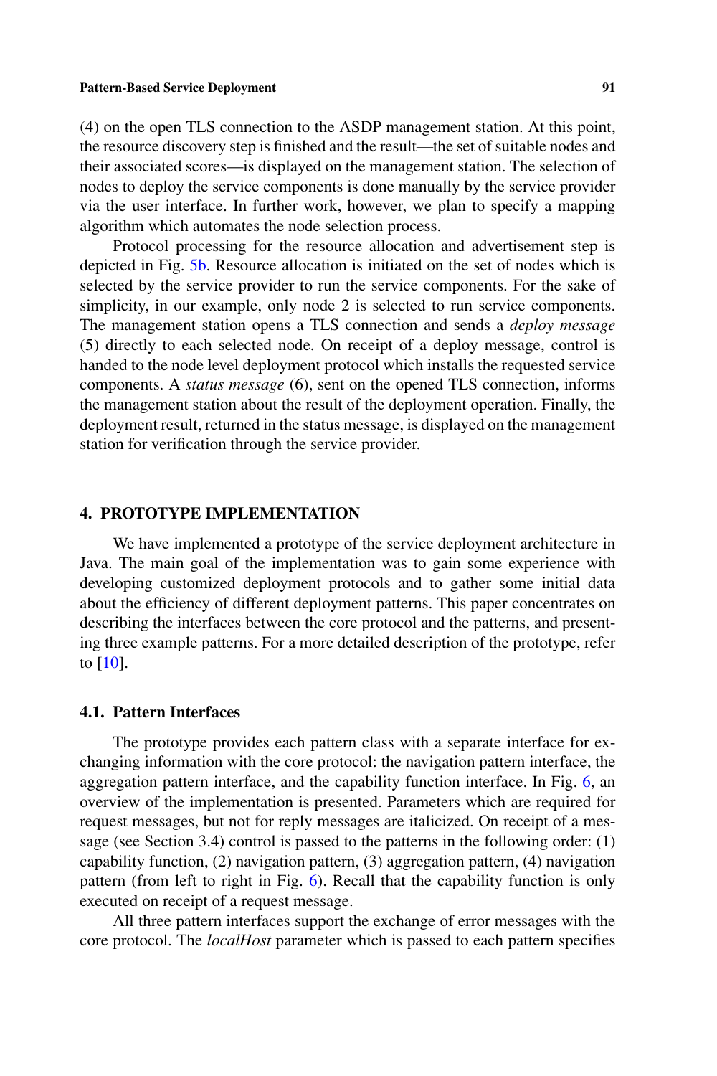#### **Pattern-Based Service Deployment 91 91**

(4) on the open TLS connection to the ASDP management station. At this point, the resource discovery step is finished and the result—the set of suitable nodes and their associated scores—is displayed on the management station. The selection of nodes to deploy the service components is done manually by the service provider via the user interface. In further work, however, we plan to specify a mapping algorithm which automates the node selection process.

Protocol processing for the resource allocation and advertisement step is depicted in Fig. [5b.](#page-10-0) Resource allocation is initiated on the set of nodes which is selected by the service provider to run the service components. For the sake of simplicity, in our example, only node 2 is selected to run service components. The management station opens a TLS connection and sends a *deploy message* (5) directly to each selected node. On receipt of a deploy message, control is handed to the node level deployment protocol which installs the requested service components. A *status message* (6), sent on the opened TLS connection, informs the management station about the result of the deployment operation. Finally, the deployment result, returned in the status message, is displayed on the management station for verification through the service provider.

## **4. PROTOTYPE IMPLEMENTATION**

We have implemented a prototype of the service deployment architecture in Java. The main goal of the implementation was to gain some experience with developing customized deployment protocols and to gather some initial data about the efficiency of different deployment patterns. This paper concentrates on describing the interfaces between the core protocol and the patterns, and presenting three example patterns. For a more detailed description of the prototype, refer to [\[10\]](#page-20-9).

## **4.1. Pattern Interfaces**

The prototype provides each pattern class with a separate interface for exchanging information with the core protocol: the navigation pattern interface, the aggregation pattern interface, and the capability function interface. In Fig. [6,](#page-12-0) an overview of the implementation is presented. Parameters which are required for request messages, but not for reply messages are italicized. On receipt of a message (see Section 3.4) control is passed to the patterns in the following order: (1) capability function, (2) navigation pattern, (3) aggregation pattern, (4) navigation pattern (from left to right in Fig. [6\)](#page-12-0). Recall that the capability function is only executed on receipt of a request message.

All three pattern interfaces support the exchange of error messages with the core protocol. The *localHost* parameter which is passed to each pattern specifies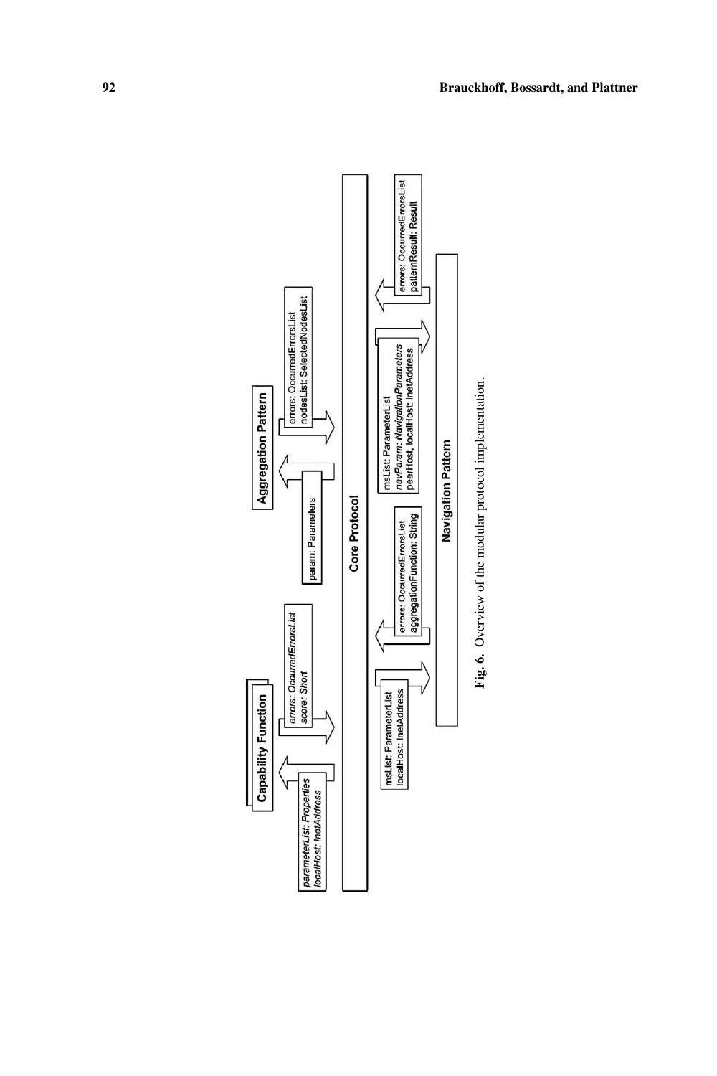<span id="page-12-0"></span>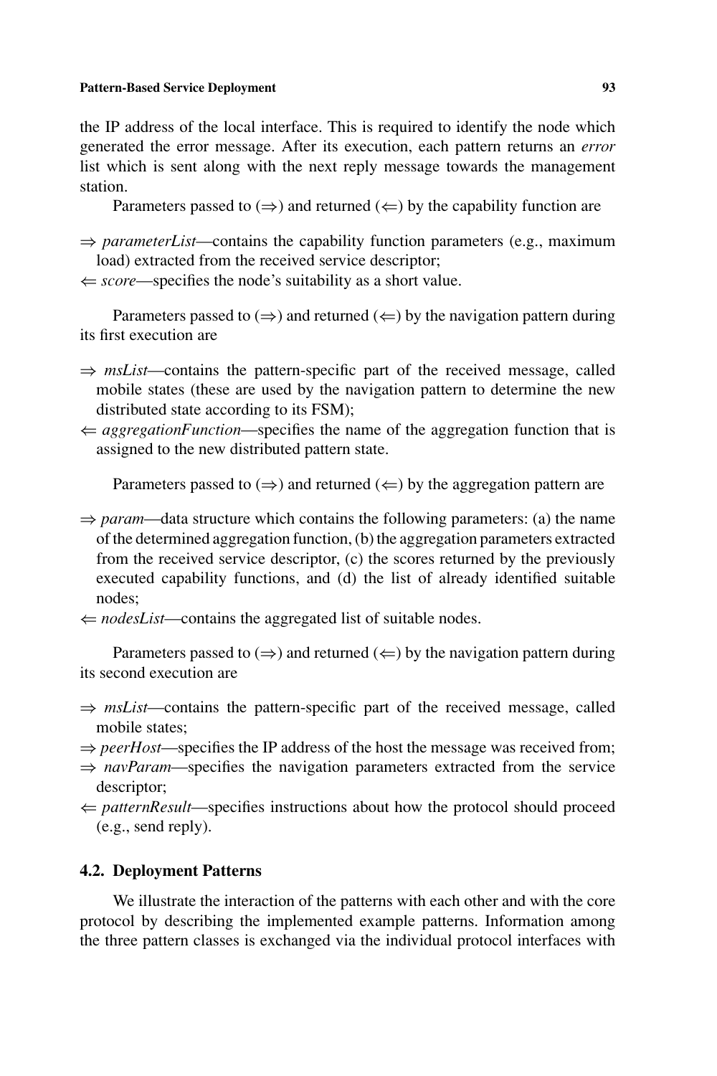#### **Pattern-Based Service Deployment 93** 93

the IP address of the local interface. This is required to identify the node which generated the error message. After its execution, each pattern returns an *error* list which is sent along with the next reply message towards the management station.

Parameters passed to  $(\Rightarrow)$  and returned  $(\Leftarrow)$  by the capability function are

- ⇒ *parameterList*—contains the capability function parameters (e.g., maximum load) extracted from the received service descriptor;
- $\Leftarrow$  *score*—specifies the node's suitability as a short value.

Parameters passed to  $(\Rightarrow)$  and returned  $(\Leftarrow)$  by the navigation pattern during its first execution are

- ⇒ *msList*—contains the pattern-specific part of the received message, called mobile states (these are used by the navigation pattern to determine the new distributed state according to its FSM);
- $\Leftarrow$  *aggregationFunction*—specifies the name of the aggregation function that is assigned to the new distributed pattern state.

Parameters passed to  $(\Rightarrow)$  and returned  $(\Leftarrow)$  by the aggregation pattern are

- $\Rightarrow$  *param*—data structure which contains the following parameters: (a) the name of the determined aggregation function, (b) the aggregation parameters extracted from the received service descriptor, (c) the scores returned by the previously executed capability functions, and (d) the list of already identified suitable nodes;
- ⇐ *nodesList*—contains the aggregated list of suitable nodes.

Parameters passed to  $(\Rightarrow)$  and returned  $(\Leftarrow)$  by the navigation pattern during its second execution are

- $\Rightarrow$  *msList*—contains the pattern-specific part of the received message, called mobile states;
- $\Rightarrow$  *peerHost*—specifies the IP address of the host the message was received from;
- ⇒ *navParam*—specifies the navigation parameters extracted from the service descriptor;
- ⇐ *patternResult*—specifies instructions about how the protocol should proceed (e.g., send reply).

## **4.2. Deployment Patterns**

We illustrate the interaction of the patterns with each other and with the core protocol by describing the implemented example patterns. Information among the three pattern classes is exchanged via the individual protocol interfaces with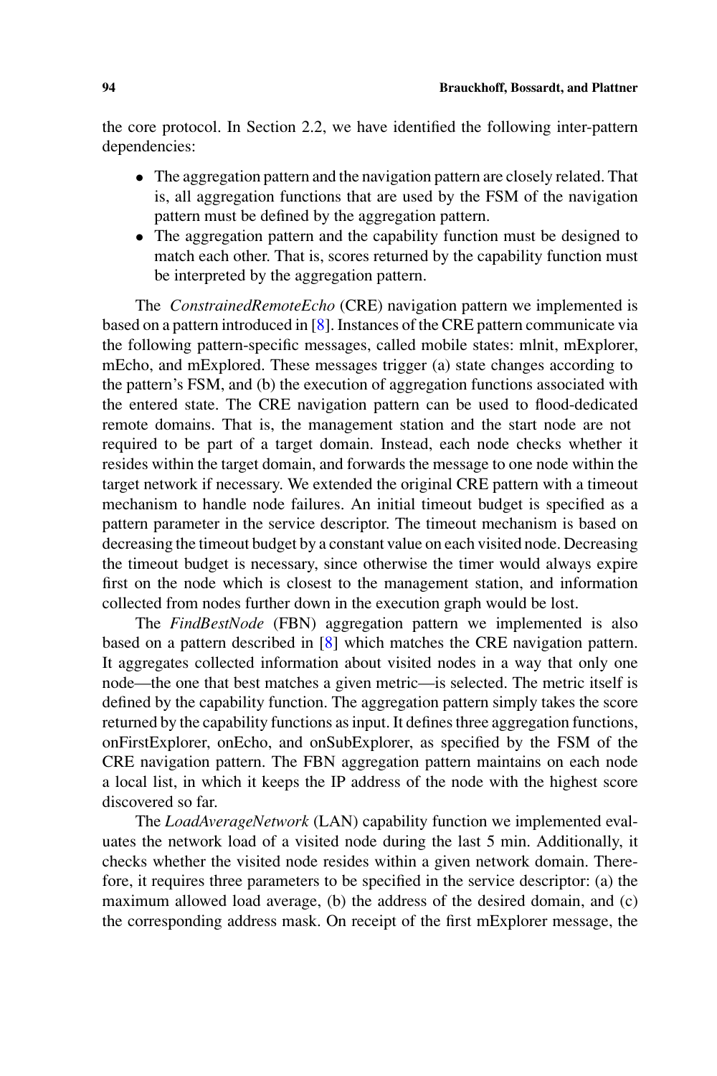the core protocol. In Section 2.2, we have identified the following inter-pattern dependencies:

- The aggregation pattern and the navigation pattern are closely related. That is, all aggregation functions that are used by the FSM of the navigation pattern must be defined by the aggregation pattern.
- The aggregation pattern and the capability function must be designed to match each other. That is, scores returned by the capability function must be interpreted by the aggregation pattern.

The *ConstrainedRemoteEcho* (CRE) navigation pattern we implemented is based on a pattern introduced in [\[8\]](#page-20-7). Instances of the CRE pattern communicate via the following pattern-specific messages, called mobile states: mlnit, mExplorer, mEcho, and mExplored. These messages trigger (a) state changes according to the pattern's FSM, and (b) the execution of aggregation functions associated with the entered state. The CRE navigation pattern can be used to flood-dedicated remote domains. That is, the management station and the start node are not required to be part of a target domain. Instead, each node checks whether it resides within the target domain, and forwards the message to one node within the target network if necessary. We extended the original CRE pattern with a timeout mechanism to handle node failures. An initial timeout budget is specified as a pattern parameter in the service descriptor. The timeout mechanism is based on decreasing the timeout budget by a constant value on each visited node. Decreasing the timeout budget is necessary, since otherwise the timer would always expire first on the node which is closest to the management station, and information collected from nodes further down in the execution graph would be lost.

The *FindBestNode* (FBN) aggregation pattern we implemented is also based on a pattern described in [\[8\]](#page-20-7) which matches the CRE navigation pattern. It aggregates collected information about visited nodes in a way that only one node—the one that best matches a given metric—is selected. The metric itself is defined by the capability function. The aggregation pattern simply takes the score returned by the capability functions as input. It defines three aggregation functions, onFirstExplorer, onEcho, and onSubExplorer, as specified by the FSM of the CRE navigation pattern. The FBN aggregation pattern maintains on each node a local list, in which it keeps the IP address of the node with the highest score discovered so far.

The *LoadAverageNetwork* (LAN) capability function we implemented evaluates the network load of a visited node during the last 5 min. Additionally, it checks whether the visited node resides within a given network domain. Therefore, it requires three parameters to be specified in the service descriptor: (a) the maximum allowed load average, (b) the address of the desired domain, and (c) the corresponding address mask. On receipt of the first mExplorer message, the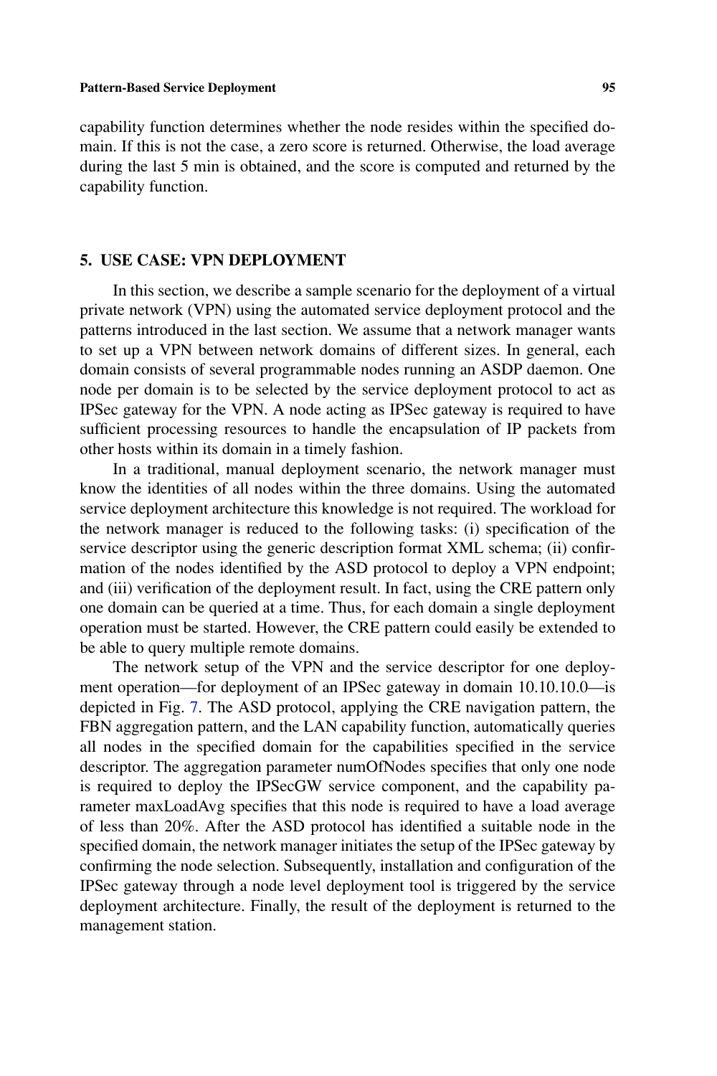#### **Pattern-Based Service Deployment 95 95**

capability function determines whether the node resides within the specified domain. If this is not the case, a zero score is returned. Otherwise, the load average during the last 5 min is obtained, and the score is computed and returned by the capability function.

## **5. USE CASE: VPN DEPLOYMENT**

In this section, we describe a sample scenario for the deployment of a virtual private network (VPN) using the automated service deployment protocol and the patterns introduced in the last section. We assume that a network manager wants to set up a VPN between network domains of different sizes. In general, each domain consists of several programmable nodes running an ASDP daemon. One node per domain is to be selected by the service deployment protocol to act as IPSec gateway for the VPN. A node acting as IPSec gateway is required to have sufficient processing resources to handle the encapsulation of IP packets from other hosts within its domain in a timely fashion.

In a traditional, manual deployment scenario, the network manager must know the identities of all nodes within the three domains. Using the automated service deployment architecture this knowledge is not required. The workload for the network manager is reduced to the following tasks: (i) specification of the service descriptor using the generic description format XML schema; (ii) confirmation of the nodes identified by the ASD protocol to deploy a VPN endpoint; and (iii) verification of the deployment result. In fact, using the CRE pattern only one domain can be queried at a time. Thus, for each domain a single deployment operation must be started. However, the CRE pattern could easily be extended to be able to query multiple remote domains.

The network setup of the VPN and the service descriptor for one deployment operation—for deployment of an IPSec gateway in domain 10.10.10.0—is depicted in Fig. [7.](#page-16-0) The ASD protocol, applying the CRE navigation pattern, the FBN aggregation pattern, and the LAN capability function, automatically queries all nodes in the specified domain for the capabilities specified in the service descriptor. The aggregation parameter numOfNodes specifies that only one node is required to deploy the IPSecGW service component, and the capability parameter maxLoadAvg specifies that this node is required to have a load average of less than 20%. After the ASD protocol has identified a suitable node in the specified domain, the network manager initiates the setup of the IPSec gateway by confirming the node selection. Subsequently, installation and configuration of the IPSec gateway through a node level deployment tool is triggered by the service deployment architecture. Finally, the result of the deployment is returned to the management station.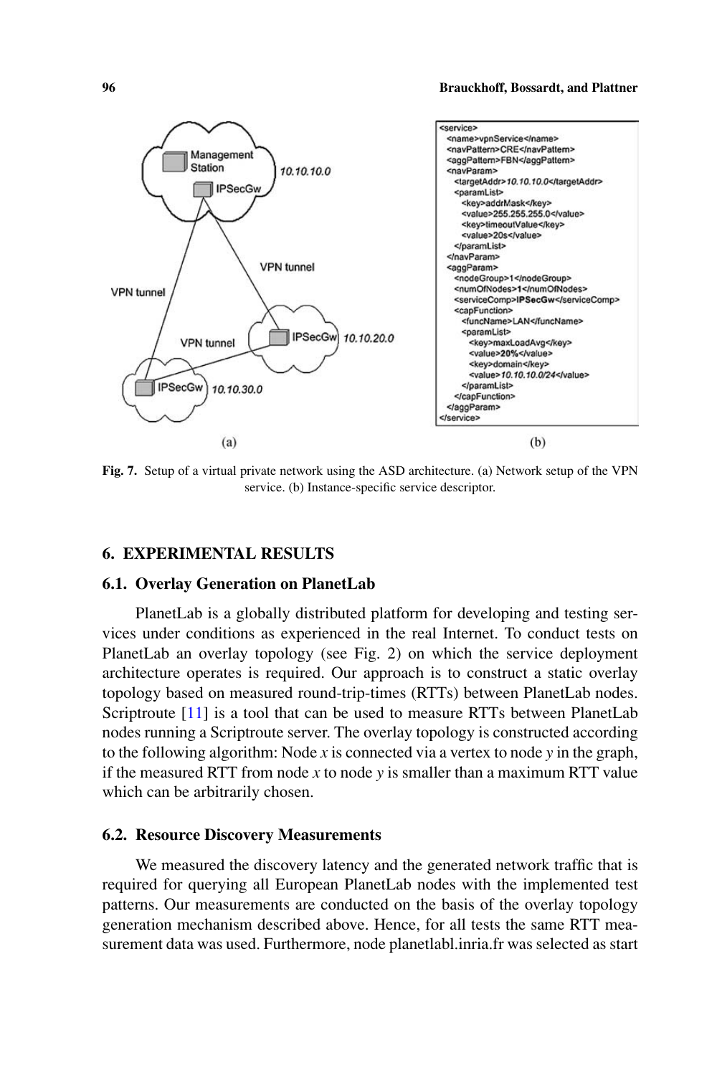**96 Brauckhoff, Bossardt, and Plattner**

<span id="page-16-0"></span>

**Fig. 7.** Setup of a virtual private network using the ASD architecture. (a) Network setup of the VPN service. (b) Instance-specific service descriptor.

## **6. EXPERIMENTAL RESULTS**

## **6.1. Overlay Generation on PlanetLab**

PlanetLab is a globally distributed platform for developing and testing services under conditions as experienced in the real Internet. To conduct tests on PlanetLab an overlay topology (see Fig. 2) on which the service deployment architecture operates is required. Our approach is to construct a static overlay topology based on measured round-trip-times (RTTs) between PlanetLab nodes. Scriptroute [\[11\]](#page-20-10) is a tool that can be used to measure RTTs between PlanetLab nodes running a Scriptroute server. The overlay topology is constructed according to the following algorithm: Node *x* is connected via a vertex to node *y* in the graph, if the measured RTT from node x to node  $y$  is smaller than a maximum RTT value which can be arbitrarily chosen.

#### **6.2. Resource Discovery Measurements**

We measured the discovery latency and the generated network traffic that is required for querying all European PlanetLab nodes with the implemented test patterns. Our measurements are conducted on the basis of the overlay topology generation mechanism described above. Hence, for all tests the same RTT measurement data was used. Furthermore, node planetlabl.inria.fr was selected as start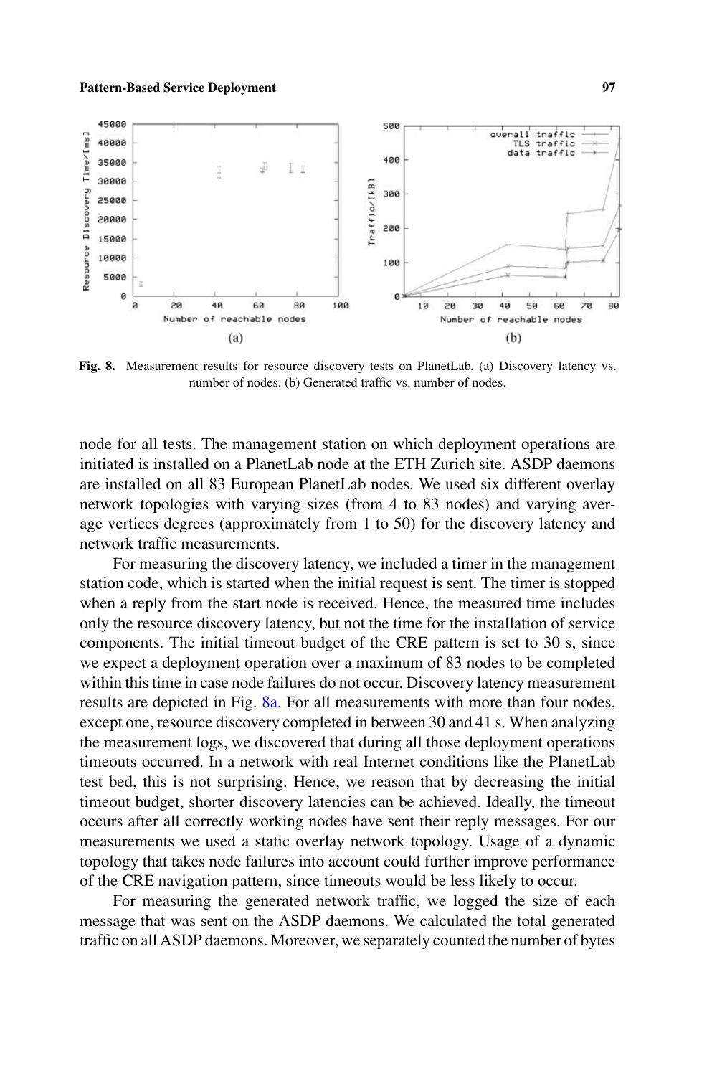<span id="page-17-0"></span>

**Fig. 8.** Measurement results for resource discovery tests on PlanetLab. (a) Discovery latency vs. number of nodes. (b) Generated traffic vs. number of nodes.

node for all tests. The management station on which deployment operations are initiated is installed on a PlanetLab node at the ETH Zurich site. ASDP daemons are installed on all 83 European PlanetLab nodes. We used six different overlay network topologies with varying sizes (from 4 to 83 nodes) and varying average vertices degrees (approximately from 1 to 50) for the discovery latency and network traffic measurements.

For measuring the discovery latency, we included a timer in the management station code, which is started when the initial request is sent. The timer is stopped when a reply from the start node is received. Hence, the measured time includes only the resource discovery latency, but not the time for the installation of service components. The initial timeout budget of the CRE pattern is set to 30 s, since we expect a deployment operation over a maximum of 83 nodes to be completed within this time in case node failures do not occur. Discovery latency measurement results are depicted in Fig. [8a.](#page-17-0) For all measurements with more than four nodes, except one, resource discovery completed in between 30 and 41 s. When analyzing the measurement logs, we discovered that during all those deployment operations timeouts occurred. In a network with real Internet conditions like the PlanetLab test bed, this is not surprising. Hence, we reason that by decreasing the initial timeout budget, shorter discovery latencies can be achieved. Ideally, the timeout occurs after all correctly working nodes have sent their reply messages. For our measurements we used a static overlay network topology. Usage of a dynamic topology that takes node failures into account could further improve performance of the CRE navigation pattern, since timeouts would be less likely to occur.

For measuring the generated network traffic, we logged the size of each message that was sent on the ASDP daemons. We calculated the total generated traffic on all ASDP daemons. Moreover, we separately counted the number of bytes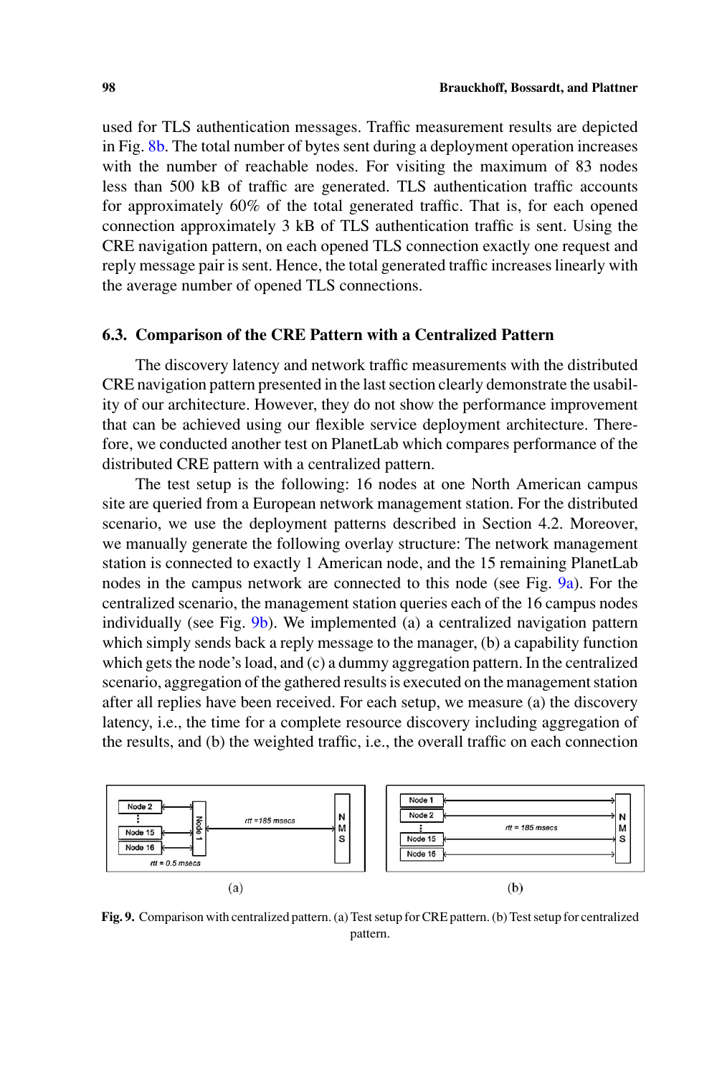used for TLS authentication messages. Traffic measurement results are depicted in Fig. [8b.](#page-17-0) The total number of bytes sent during a deployment operation increases with the number of reachable nodes. For visiting the maximum of 83 nodes less than 500 kB of traffic are generated. TLS authentication traffic accounts for approximately 60% of the total generated traffic. That is, for each opened connection approximately 3 kB of TLS authentication traffic is sent. Using the CRE navigation pattern, on each opened TLS connection exactly one request and reply message pair is sent. Hence, the total generated traffic increases linearly with the average number of opened TLS connections.

#### **6.3. Comparison of the CRE Pattern with a Centralized Pattern**

The discovery latency and network traffic measurements with the distributed CRE navigation pattern presented in the last section clearly demonstrate the usability of our architecture. However, they do not show the performance improvement that can be achieved using our flexible service deployment architecture. Therefore, we conducted another test on PlanetLab which compares performance of the distributed CRE pattern with a centralized pattern.

The test setup is the following: 16 nodes at one North American campus site are queried from a European network management station. For the distributed scenario, we use the deployment patterns described in Section 4.2. Moreover, we manually generate the following overlay structure: The network management station is connected to exactly 1 American node, and the 15 remaining PlanetLab nodes in the campus network are connected to this node (see Fig.  $9a$ ). For the centralized scenario, the management station queries each of the 16 campus nodes individually (see Fig.  $9b$ ). We implemented (a) a centralized navigation pattern which simply sends back a reply message to the manager, (b) a capability function which gets the node's load, and (c) a dummy aggregation pattern. In the centralized scenario, aggregation of the gathered results is executed on the management station after all replies have been received. For each setup, we measure (a) the discovery latency, i.e., the time for a complete resource discovery including aggregation of the results, and (b) the weighted traffic, i.e., the overall traffic on each connection

<span id="page-18-0"></span>

**Fig. 9.** Comparison with centralized pattern. (a) Test setup for CRE pattern. (b) Test setup for centralized pattern.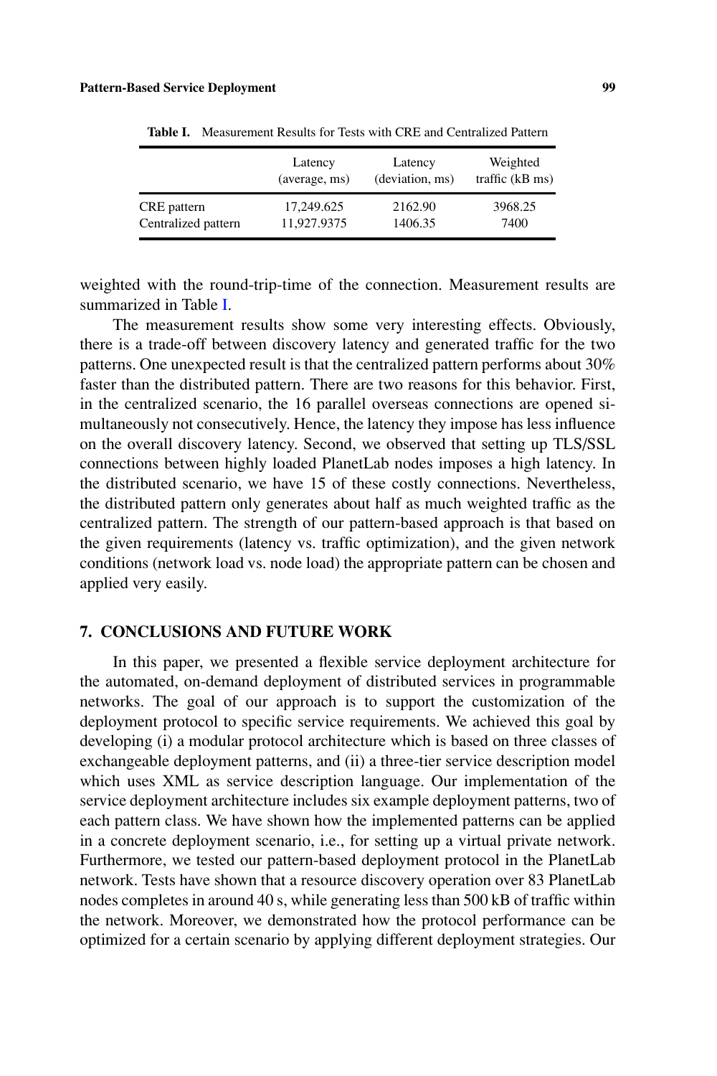<span id="page-19-0"></span>

|                     | Latency       | Latency         | Weighted                    |
|---------------------|---------------|-----------------|-----------------------------|
|                     | (average, ms) | (deviation, ms) | traffic $(kB \, \text{ms})$ |
| CRE pattern         | 17.249.625    | 2162.90         | 3968.25                     |
| Centralized pattern | 11,927.9375   | 1406.35         | 7400                        |

**Table I.** Measurement Results for Tests with CRE and Centralized Pattern

weighted with the round-trip-time of the connection. Measurement results are summarized in Table [I.](#page-19-0)

The measurement results show some very interesting effects. Obviously, there is a trade-off between discovery latency and generated traffic for the two patterns. One unexpected result is that the centralized pattern performs about 30% faster than the distributed pattern. There are two reasons for this behavior. First, in the centralized scenario, the 16 parallel overseas connections are opened simultaneously not consecutively. Hence, the latency they impose has less influence on the overall discovery latency. Second, we observed that setting up TLS/SSL connections between highly loaded PlanetLab nodes imposes a high latency. In the distributed scenario, we have 15 of these costly connections. Nevertheless, the distributed pattern only generates about half as much weighted traffic as the centralized pattern. The strength of our pattern-based approach is that based on the given requirements (latency vs. traffic optimization), and the given network conditions (network load vs. node load) the appropriate pattern can be chosen and applied very easily.

## **7. CONCLUSIONS AND FUTURE WORK**

In this paper, we presented a flexible service deployment architecture for the automated, on-demand deployment of distributed services in programmable networks. The goal of our approach is to support the customization of the deployment protocol to specific service requirements. We achieved this goal by developing (i) a modular protocol architecture which is based on three classes of exchangeable deployment patterns, and (ii) a three-tier service description model which uses XML as service description language. Our implementation of the service deployment architecture includes six example deployment patterns, two of each pattern class. We have shown how the implemented patterns can be applied in a concrete deployment scenario, i.e., for setting up a virtual private network. Furthermore, we tested our pattern-based deployment protocol in the PlanetLab network. Tests have shown that a resource discovery operation over 83 PlanetLab nodes completes in around 40 s, while generating less than 500 kB of traffic within the network. Moreover, we demonstrated how the protocol performance can be optimized for a certain scenario by applying different deployment strategies. Our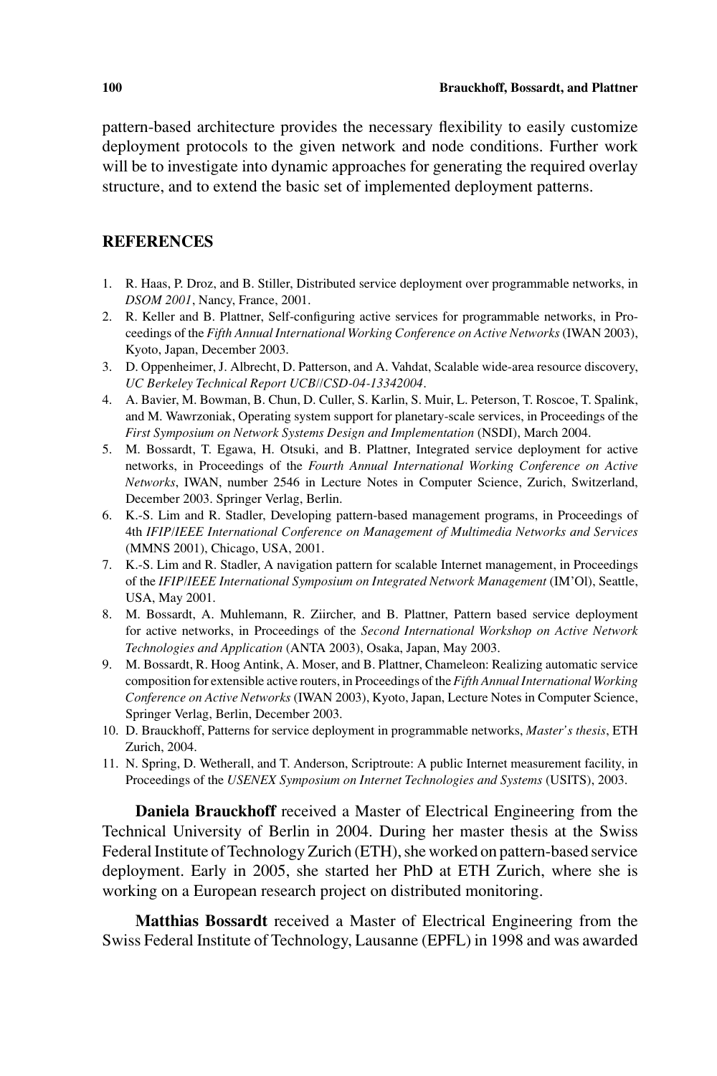pattern-based architecture provides the necessary flexibility to easily customize deployment protocols to the given network and node conditions. Further work will be to investigate into dynamic approaches for generating the required overlay structure, and to extend the basic set of implemented deployment patterns.

## **REFERENCES**

- 1. R. Haas, P. Droz, and B. Stiller, Distributed service deployment over programmable networks, in *DSOM 2001*, Nancy, France, 2001.
- <span id="page-20-0"></span>2. R. Keller and B. Plattner, Self-configuring active services for programmable networks, in Proceedings of the *Fifth Annual International Working Conference on Active Networks* (IWAN 2003), Kyoto, Japan, December 2003.
- <span id="page-20-1"></span>3. D. Oppenheimer, J. Albrecht, D. Patterson, and A. Vahdat, Scalable wide-area resource discovery, *UC Berkeley Technical Report UCB//CSD-04-13342004*.
- <span id="page-20-2"></span>4. A. Bavier, M. Bowman, B. Chun, D. Culler, S. Karlin, S. Muir, L. Peterson, T. Roscoe, T. Spalink, and M. Wawrzoniak, Operating system support for planetary-scale services, in Proceedings of the *First Symposium on Network Systems Design and Implementation* (NSDI), March 2004.
- <span id="page-20-3"></span>5. M. Bossardt, T. Egawa, H. Otsuki, and B. Plattner, Integrated service deployment for active networks, in Proceedings of the *Fourth Annual International Working Conference on Active Networks*, IWAN, number 2546 in Lecture Notes in Computer Science, Zurich, Switzerland, December 2003. Springer Verlag, Berlin.
- <span id="page-20-4"></span>6. K.-S. Lim and R. Stadler, Developing pattern-based management programs, in Proceedings of 4th *IFIP/IEEE International Conference on Management of Multimedia Networks and Services* (MMNS 2001), Chicago, USA, 2001.
- <span id="page-20-5"></span>7. K.-S. Lim and R. Stadler, A navigation pattern for scalable Internet management, in Proceedings of the *IFIP/IEEE International Symposium on Integrated Network Management* (IM'Ol), Seattle, USA, May 2001.
- <span id="page-20-6"></span>8. M. Bossardt, A. Muhlemann, R. Ziircher, and B. Plattner, Pattern based service deployment for active networks, in Proceedings of the *Second International Workshop on Active Network Technologies and Application* (ANTA 2003), Osaka, Japan, May 2003.
- <span id="page-20-7"></span>9. M. Bossardt, R. Hoog Antink, A. Moser, and B. Plattner, Chameleon: Realizing automatic service composition for extensible active routers, in Proceedings of the *Fifth Annual International Working Conference on Active Networks* (IWAN 2003), Kyoto, Japan, Lecture Notes in Computer Science, Springer Verlag, Berlin, December 2003.
- <span id="page-20-8"></span>10. D. Brauckhoff, Patterns for service deployment in programmable networks, *Master's thesis*, ETH Zurich, 2004.
- <span id="page-20-10"></span><span id="page-20-9"></span>11. N. Spring, D. Wetherall, and T. Anderson, Scriptroute: A public Internet measurement facility, in Proceedings of the *USENEX Symposium on Internet Technologies and Systems* (USITS), 2003.

**Daniela Brauckhoff** received a Master of Electrical Engineering from the Technical University of Berlin in 2004. During her master thesis at the Swiss Federal Institute of Technology Zurich (ETH), she worked on pattern-based service deployment. Early in 2005, she started her PhD at ETH Zurich, where she is working on a European research project on distributed monitoring.

**Matthias Bossardt** received a Master of Electrical Engineering from the Swiss Federal Institute of Technology, Lausanne (EPFL) in 1998 and was awarded